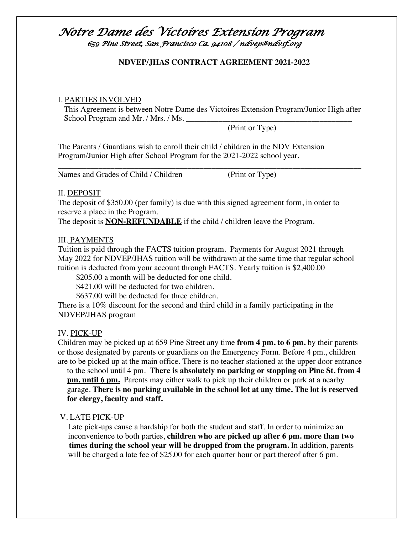### **NDVEP/JHAS CONTRACT AGREEMENT 2021-2022**

### I. PARTIES INVOLVED

This Agreement is between Notre Dame des Victoires Extension Program/Junior High after School Program and Mr. / Mrs. / Ms.

\_\_\_\_\_\_\_\_\_\_\_\_\_\_\_\_\_\_\_\_\_\_\_\_\_\_\_\_\_\_\_\_\_\_\_\_\_\_\_\_\_\_\_\_\_\_\_\_\_\_\_\_\_\_\_\_\_\_\_\_\_\_\_\_\_\_\_\_\_\_\_\_\_\_\_

(Print or Type)

The Parents / Guardians wish to enroll their child / children in the NDV Extension Program/Junior High after School Program for the 2021-2022 school year.

Names and Grades of Child / Children (Print or Type)

#### II. DEPOSIT

The deposit of \$350.00 (per family) is due with this signed agreement form, in order to reserve a place in the Program.

The deposit is **NON-REFUNDABLE** if the child / children leave the Program.

### III. PAYMENTS

Tuition is paid through the FACTS tuition program. Payments for August 2021 through May 2022 for NDVEP/JHAS tuition will be withdrawn at the same time that regular school tuition is deducted from your account through FACTS. Yearly tuition is \$2,400.00

\$205.00 a month will be deducted for one child.

\$421.00 will be deducted for two children.

\$637.00 will be deducted for three children.

There is a 10% discount for the second and third child in a family participating in the NDVEP/JHAS program

### IV. PICK-UP

Children may be picked up at 659 Pine Street any time **from 4 pm. to 6 pm.** by their parents or those designated by parents or guardians on the Emergency Form. Before 4 pm., children are to be picked up at the main office. There is no teacher stationed at the upper door entrance

to the school until 4 pm. **There is absolutely no parking or stopping on Pine St. from 4 pm. until 6 pm.** Parents may either walk to pick up their children or park at a nearby garage. **There is no parking available in the school lot at any time. The lot is reserved for clergy, faculty and staff.**

### V. LATE PICK-UP

 Late pick-ups cause a hardship for both the student and staff. In order to minimize an inconvenience to both parties, **children who are picked up after 6 pm. more than two times during the school year will be dropped from the program.** In addition, parents will be charged a late fee of \$25.00 for each quarter hour or part thereof after 6 pm.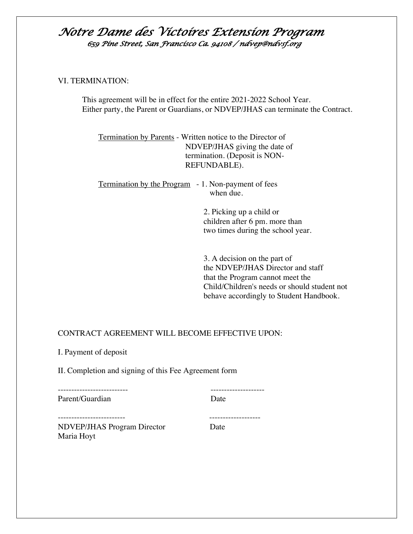#### VI. TERMINATION:

This agreement will be in effect for the entire 2021-2022 School Year. Either party, the Parent or Guardians, or NDVEP/JHAS can terminate the Contract.

 Termination by Parents - Written notice to the Director of NDVEP/JHAS giving the date of termination. (Deposit is NON- REFUNDABLE).

 Termination by the Program - 1. Non-payment of fees when due.

> 2. Picking up a child or children after 6 pm. more than two times during the school year.

 3. A decision on the part of the NDVEP/JHAS Director and staff that the Program cannot meet the Child/Children's needs or should student not behave accordingly to Student Handbook.

### CONTRACT AGREEMENT WILL BECOME EFFECTIVE UPON:

I. Payment of deposit

II. Completion and signing of this Fee Agreement form

| Parent/Guardian             | Date |
|-----------------------------|------|
|                             |      |
|                             |      |
| NDVEP/JHAS Program Director | Date |
| Maria Hoyt                  |      |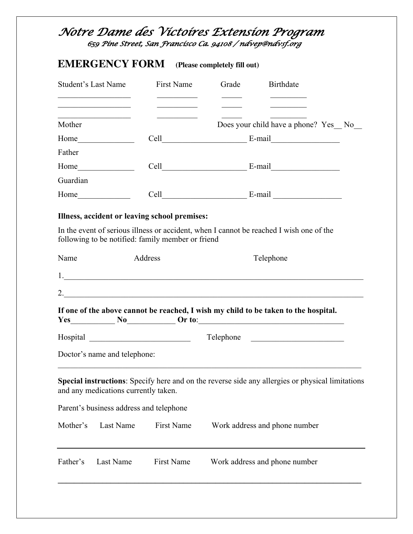# **EMERGENCY FORM (Please completely fill out)**

| <b>Student's Last Name</b>                                                                                                                                                                                                    | First Name                              | Grade<br>Birthdate                                                                                       |
|-------------------------------------------------------------------------------------------------------------------------------------------------------------------------------------------------------------------------------|-----------------------------------------|----------------------------------------------------------------------------------------------------------|
| <u> 1989 - Andrea Andrew Maria III, martin a fara a tsail an t-Alban ann an t-Alban an t-Alban ann an t-Alban an </u><br><u> 1989 - Johann Barbara, martxa alemani</u> a<br>Mother                                            | <u> 1989 - Johann Barbara, martin a</u> | Does your child have a phone? Yes No                                                                     |
|                                                                                                                                                                                                                               |                                         |                                                                                                          |
| Father                                                                                                                                                                                                                        |                                         |                                                                                                          |
|                                                                                                                                                                                                                               |                                         |                                                                                                          |
| Guardian                                                                                                                                                                                                                      |                                         |                                                                                                          |
| Home has been a series of the series of the series of the series of the series of the series of the series of the series of the series of the series of the series of the series of the series of the series of the series of |                                         | $Cell$ $E-mail$ $E-mail$                                                                                 |
| Illness, accident or leaving school premises:                                                                                                                                                                                 |                                         | In the event of serious illness or accident, when I cannot be reached I wish one of the                  |
| following to be notified: family member or friend                                                                                                                                                                             |                                         |                                                                                                          |
| Name                                                                                                                                                                                                                          | Address                                 | Telephone                                                                                                |
|                                                                                                                                                                                                                               |                                         |                                                                                                          |
|                                                                                                                                                                                                                               |                                         |                                                                                                          |
|                                                                                                                                                                                                                               |                                         | If one of the above cannot be reached, I wish my child to be taken to the hospital.<br>$Yes$ No $Or to:$ |
| Hospital                                                                                                                                                                                                                      |                                         | Telephone                                                                                                |
| Doctor's name and telephone:                                                                                                                                                                                                  |                                         |                                                                                                          |
| and any medications currently taken.                                                                                                                                                                                          |                                         | Special instructions: Specify here and on the reverse side any allergies or physical limitations         |
| Parent's business address and telephone                                                                                                                                                                                       |                                         |                                                                                                          |
| Mother's<br><b>Last Name</b>                                                                                                                                                                                                  | <b>First Name</b>                       | Work address and phone number                                                                            |
| Father's<br><b>Last Name</b>                                                                                                                                                                                                  | <b>First Name</b>                       | Work address and phone number                                                                            |
|                                                                                                                                                                                                                               |                                         |                                                                                                          |